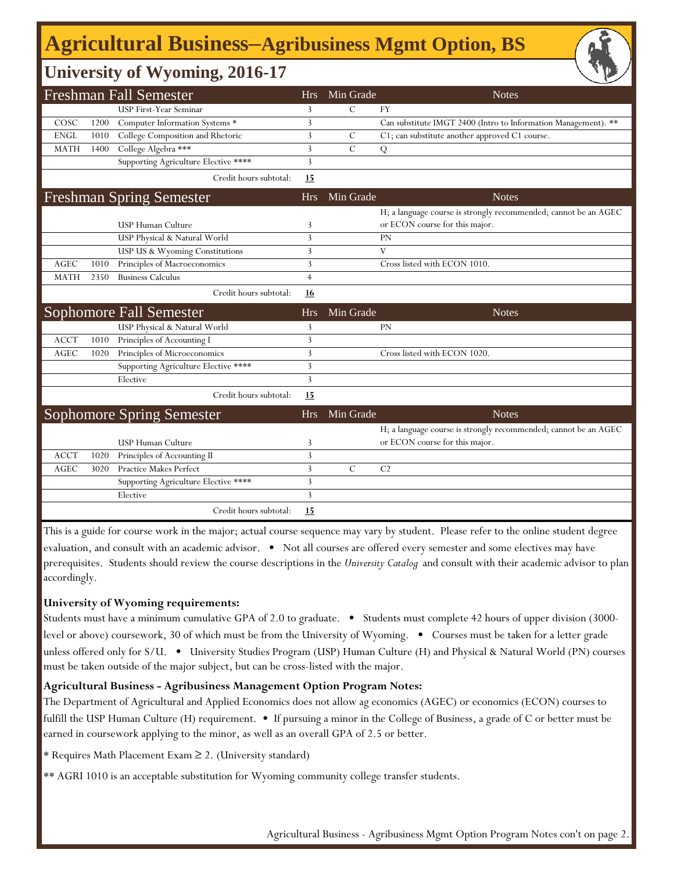# **Agricultural Business‒Agribusiness Mgmt Option, BS**

### **University of Wyoming, 2016-17**

|             |      | <b>Freshman Fall Semester</b>                    | <b>Hrs</b>     | Min Grade     | <b>Notes</b>                                                                                      |
|-------------|------|--------------------------------------------------|----------------|---------------|---------------------------------------------------------------------------------------------------|
|             |      | USP First-Year Seminar                           | 3              | $\mathcal{C}$ | <b>FY</b>                                                                                         |
| COSC        | 1200 | Computer Information Systems *                   | 3              |               | Can substitute IMGT 2400 (Intro to Information Management). **                                    |
| <b>ENGL</b> | 1010 | College Composition and Rhetoric                 | 3              | $\mathcal{C}$ | C1; can substitute another approved C1 course.                                                    |
| <b>MATH</b> | 1400 | College Algebra ***                              | 3              | $\mathcal{C}$ | Q                                                                                                 |
|             |      | Supporting Agriculture Elective ****             | 3              |               |                                                                                                   |
|             |      | Credit hours subtotal:                           | 15             |               |                                                                                                   |
|             |      | <b>Freshman Spring Semester</b>                  | <b>Hrs</b>     | Min Grade     | <b>Notes</b>                                                                                      |
|             |      |                                                  |                |               | H; a language course is strongly recommended; cannot be an AGEC                                   |
|             |      | <b>USP Human Culture</b>                         | 3              |               | or ECON course for this major.                                                                    |
|             |      | USP Physical & Natural World                     | 3              |               | PN                                                                                                |
|             |      | USP US & Wyoming Constitutions                   | 3              |               | V                                                                                                 |
| <b>AGEC</b> | 1010 | Principles of Macroeconomics                     | 3              |               | Cross listed with ECON 1010.                                                                      |
| <b>MATH</b> | 2350 | <b>Business Calculus</b>                         | $\overline{4}$ |               |                                                                                                   |
|             |      | Credit hours subtotal:                           | 16             |               |                                                                                                   |
|             |      | <b>Sophomore Fall Semester</b>                   | <b>Hrs</b>     | Min Grade     | <b>Notes</b>                                                                                      |
|             |      | USP Physical & Natural World                     | 3              |               | PN                                                                                                |
| <b>ACCT</b> | 1010 | Principles of Accounting I                       | 3              |               |                                                                                                   |
| <b>AGEC</b> | 1020 | Principles of Microeconomics                     | 3              |               | Cross listed with ECON 1020.                                                                      |
|             |      | Supporting Agriculture Elective ****             | 3              |               |                                                                                                   |
|             |      | Elective                                         | 3              |               |                                                                                                   |
|             |      | Credit hours subtotal:                           | <u>15</u>      |               |                                                                                                   |
|             |      | <b>Sophomore Spring Semester</b>                 | <b>Hrs</b>     | Min Grade     | <b>Notes</b>                                                                                      |
|             |      | USP Human Culture                                | 3              |               | H; a language course is strongly recommended; cannot be an AGEC<br>or ECON course for this major. |
| <b>ACCT</b> | 1020 | Principles of Accounting II                      | 3              |               |                                                                                                   |
| <b>AGEC</b> | 3020 | <b>Practice Makes Perfect</b>                    | 3              | $\mathcal{C}$ | C <sub>2</sub>                                                                                    |
|             |      |                                                  | 3              |               |                                                                                                   |
|             |      | Supporting Agriculture Elective ****<br>Elective | 3              |               |                                                                                                   |
|             |      |                                                  |                |               |                                                                                                   |
|             |      | Credit hours subtotal:                           | 15             |               |                                                                                                   |

This is a guide for course work in the major; actual course sequence may vary by student. Please refer to the online student degree evaluation, and consult with an academic advisor. • Not all courses are offered every semester and some electives may have prerequisites. Students should review the course descriptions in the *University Catalog* and consult with their academic advisor to plan accordingly.

#### **University of Wyoming requirements:**

Students must have a minimum cumulative GPA of 2.0 to graduate. • Students must complete 42 hours of upper division (3000 level or above) coursework, 30 of which must be from the University of Wyoming. • Courses must be taken for a letter grade unless offered only for S/U. • University Studies Program (USP) Human Culture (H) and Physical & Natural World (PN) courses must be taken outside of the major subject, but can be cross-listed with the major.

#### **Agricultural Business - Agribusiness Management Option Program Notes:**

The Department of Agricultural and Applied Economics does not allow ag economics (AGEC) or economics (ECON) courses to fulfill the USP Human Culture (H) requirement. • If pursuing a minor in the College of Business, a grade of C or better must be earned in coursework applying to the minor, as well as an overall GPA of 2.5 or better.

\* Requires Math Placement Exam ≥ 2. (University standard)

\*\* AGRI 1010 is an acceptable substitution for Wyoming community college transfer students.